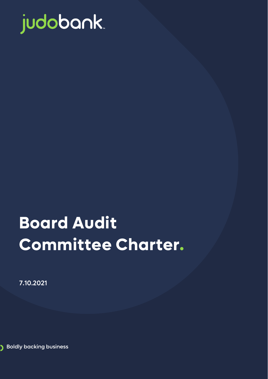

# **Board Audit Committee Charter.**

7.10.2021

**Boldly backing business** 

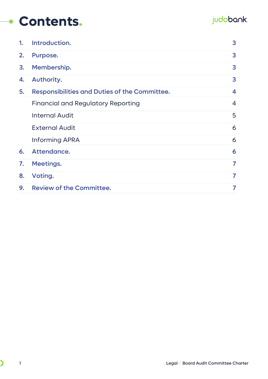### **Contents.**

### judobank.

| $\mathbf{1}$ | Introduction.                                 | 3              |
|--------------|-----------------------------------------------|----------------|
| 2.           | Purpose.                                      | 3              |
| 3.           | Membership.                                   | 3              |
| 4.           | Authority.                                    | 3              |
| 5.           | Responsibilities and Duties of the Committee. | 4              |
|              | <b>Financial and Regulatory Reporting</b>     | $\overline{4}$ |
|              | <b>Internal Audit</b>                         | 5              |
|              | <b>External Audit</b>                         | 6              |
|              | <b>Informing APRA</b>                         | 6              |
| 6.           | Attendance.                                   | 6              |
| 7.           | <b>Meetings.</b>                              | 7              |
| 8.           | Voting.                                       | 7              |
| 9.           | <b>Review of the Committee.</b>               | 7              |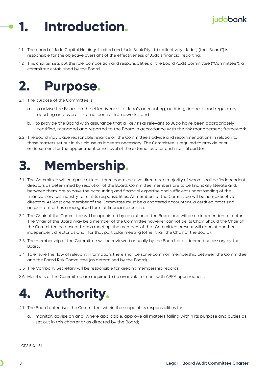## <span id="page-2-0"></span>**1. Introduction.**

- 1.1 The board of Judo Capital Holdings Limited and Judo Bank Pty Ltd (collectively "Judo") (the "Board") is responsible for the objective oversight of the effectiveness of Judo's financial reporting.
- 1.2 This charter sets out the role, composition and responsibilities of the Board Audit Committee ("Committee"), a committee established by the Board.

### <span id="page-2-1"></span>**2. Purpose.**

- 2.1 The purpose of the Committee is:
	- a. to advise the Board on the effectiveness of Judo's accounting, auditing, financial and regulatory reporting and overall internal control frameworks; and
	- b. to provide the Board with assurance that all key risks relevant to Judo have been appropriately identified, managed and reported to the Board in accordance with the risk management framework.
- 2.2 The Board may place reasonable reliance on the Committee's advice and recommendations in relation to those matters set out in this clause as it deems necessary. The Committee is required to provide prior endorsement for the appointment or removal of the external auditor and internal auditor.<sup>[1](#page-2-4)</sup>

### <span id="page-2-2"></span>**3. Membership.**

- 3.1 The Committee will comprise at least three non-executive directors, a majority of whom shall be 'independent' directors as determined by resolution of the Board. Committee members are to be financially literate and, between them, are to have the accounting and financial expertise and sufficient understanding of the financial services industry to fulfil its responsibilities. All members of the Committee will be non-executive directors. At least one member of the Committee must be a chartered accountant, a certified practising accountant or has a recognised form of financial expertise.
- 3.2 The Chair of the Committee will be appointed by resolution of the Board and will be an independent director. The Chair of the Board may be a member of the Committee however cannot be its Chair. Should the Chair of the Committee be absent from a meeting, the members of that Committee present will appoint another independent director as Chair for that particular meeting (other than the Chair of the Board).
- 3.3 The membership of the Committee will be reviewed annually by the Board, or as deemed necessary by the Board.
- 3.4 To ensure the flow of relevant information, there shall be some common membership between the Committee and the Board Risk Committee (as determined by the Board).
- 3.5 The Company Secretary will be responsible for keeping membership records.
- 3.6 Members of the Committee are required to be available to meet with APRA upon request.

### <span id="page-2-3"></span>**4. Authority.**

- 4.1 The Board authorises the Committee, within the scope of its responsibilities to:
	- a. monitor, advise on and, where applicable, approve all matters falling within its purpose and duties as set out in this charter or as directed by the Board;

judobank.

<span id="page-2-4"></span><sup>1</sup> CPS 510 - 81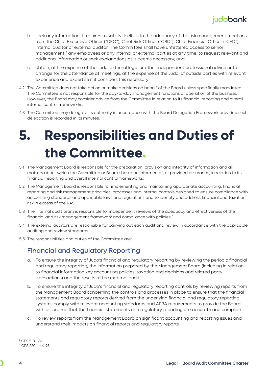

- b. seek any information it requires to satisfy itself as to the adequacy of the risk management functions from the Chief Executive Officer ("CEO"), Chief Risk Officer ("CRO"), Chief Financial Officer ("CFO"), internal auditor or external auditor. The Committee shall have unfettered access to senior management,<sup>[2](#page-3-2)</sup> any employees or any internal or external parties at any time, to request relevant and additional information or seek explanations as it deems necessary; and
- c. obtain, at the expense of the Judo, external legal or other independent professional advice or to arrange for the attendance at meetings, at the expense of the Judo, of outside parties with relevant experience and expertise if it considers this necessary.
- 4.2 The Committee does not take action or make decisions on behalf of the Board unless specifically mandated. The Committee is not responsible for the day-to-day management functions or operation of the business. However, the Board may consider advice from the Committee in relation to its financial reporting and overall internal control frameworks.
- 4.3 The Committee may delegate its authority in accordance with the Board Delegation Framework provided such delegation is recorded in its minutes.

## <span id="page-3-0"></span>**5. Responsibilities and Duties of the Committee.**

- 5.1 The Management Board is responsible for the preparation, provision and integrity of information and all matters about which the Committee or Board should be informed of, or provided assurance, in relation to its financial reporting and overall internal control frameworks.
- 5.2 The Management Board is responsible for implementing and maintaining appropriate accounting, financial reporting and risk management principles, processes and internal controls designed to ensure compliance with accounting standards and applicable laws and regulations and to identify and address financial and taxation risk in excess of the RAS.
- 5.3 The internal audit team is responsible for independent reviews of the adequacy and effectiveness of the financial and risk management framework and compliance with policies. [3](#page-3-3)
- 5.4 The external auditors are responsible for carrying out each audit and review in accordance with the applicable auditing and review standards.
- <span id="page-3-1"></span>5.5 The responsibilities and duties of the Committee are:

#### Financial and Regulatory Reporting

- a. To ensure the integrity of Judo's financial and regulatory reporting by reviewing the periodic financial and regulatory reporting, the information prepared by the Management Board (including in relation to financial information key accounting policies, taxation and decisions and related party transactions) and the results of the external audit.
- b. To ensure the integrity of Judo's financial and regulatory reporting controls by reviewing reports from the Management Board concerning the controls and processes in place to ensure that the financial statements and regulatory reports derived from the underlying financial and regulatory reporting systems comply with relevant accounting standards and APRA requirements to provide the Board with assurance that the financial statements and regulatory reporting are accurate and compliant.
- c. To review reports from the Management Board on significant accounting and reporting issues and understand their impacts on financial reports and regulatory reports.

<span id="page-3-2"></span><sup>2</sup> CPS 510 - 86

<span id="page-3-3"></span> $3$  CPS 220 - 44, 93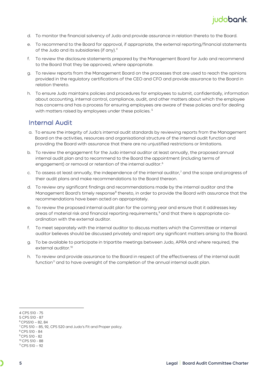

- d. To monitor the financial solvency of Judo and provide assurance in relation thereto to the Board.
- e. To recommend to the Board for approval, if appropriate, the external reporting/financial statements of the Judo and its subsidiaries (if any).<sup>[4](#page-4-1)</sup>
- f. To review the disclosure statements prepared by the Management Board for Judo and recommend to the Board that they be approved, where appropriate.
- g. To review reports from the Management Board on the processes that are used to reach the opinions provided in the regulatory certifications of the CEO and CFO and provide assurance to the Board in relation thereto.
- h. To ensure Judo maintains policies and procedures for employees to submit, confidentially, information about accounting, internal control, compliance, audit, and other matters about which the employee has concerns and has a process for ensuring employees are aware of these policies and for dealing with matters raised by employees under these policies.<sup>[5](#page-4-2)</sup>

#### <span id="page-4-0"></span>Internal Audit

- a. To ensure the integrity of Judo's internal audit standards by reviewing reports from the Management Board on the activities, resources and organisational structure of the internal audit function and providing the Board with assurance that there are no unjustified restrictions or limitations.
- b. To review the engagement for the Judo internal auditor at least annually, the proposed annual internal audit plan and to recommend to the Board the appointment (including terms of engagement) or removal or retention of the internal auditor.<sup>[6](#page-4-3)</sup>
- c. To assess at least annually, the independence of the internal auditor,<sup>[7](#page-4-4)</sup> and the scope and progress of their audit plans and make recommendations to the Board thereon.
- d. To review any significant findings and recommendations made by the internal auditor and the Management Board's timely response<sup>[8](#page-4-5)</sup> thereto, in order to provide the Board with assurance that the recommendations have been acted on appropriately.
- e. To review the proposed internal audit plan for the coming year and ensure that it addresses key areas of material risk and financial reporting requirements,<sup>[9](#page-4-6)</sup> and that there is appropriate coordination with the external auditor.
- f. To meet separately with the internal auditor to discuss matters which the Committee or internal auditor believes should be discussed privately and report any significant matters arising to the Board.
- g. To be available to participate in tripartite meetings between Judo, APRA and where required, the external auditor.<sup>[10](#page-4-7)</sup>
- h. To review and provide assurance to the Board in respect of the effectiveness of the internal audit function<sup>[11](#page-4-8)</sup> and to have oversight of the completion of the annual internal audit plan.

<span id="page-4-2"></span>5 CPS 510 - 87

<span id="page-4-1"></span><sup>4</sup> CPS 510 - 75

<span id="page-4-3"></span> $6$  CPS510 – 82, 84

<span id="page-4-4"></span><sup>7</sup> CPS 510 – 85, 92, CPS 520 and Judo's Fit and Proper policy.

<span id="page-4-5"></span><sup>8</sup> CPS 510 - 84

<span id="page-4-6"></span><sup>9</sup> CPS 510 - 82

<span id="page-4-8"></span><span id="page-4-7"></span><sup>10</sup> CPS 510 - 88  $11$  CPS 510 - 92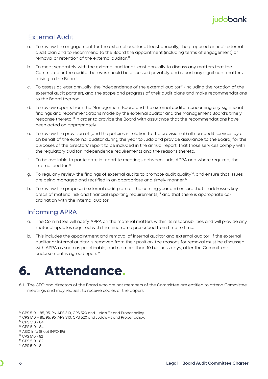

#### <span id="page-5-0"></span>External Audit

- a. To review the engagement for the external auditor at least annually, the proposed annual external audit plan and to recommend to the Board the appointment (including terms of engagement) or removal or retention of the external auditor.<sup>[12](#page-5-3)</sup>
- b. To meet separately with the external auditor at least annually to discuss any matters that the Committee or the auditor believes should be discussed privately and report any significant matters arising to the Board.
- c. To assess at least annually, the independence of the external auditor<sup>[13](#page-5-4)</sup> (including the rotation of the external audit partner), and the scope and progress of their audit plans and make recommendations to the Board thereon.
- d. To review reports from the Management Board and the external auditor concerning any significant findings and recommendations made by the external auditor and the Management Board's timely response thereto,<sup>[14](#page-5-5)</sup> in order to provide the Board with assurance that the recommendations have been acted on appropriately.
- e. To review the provision of (and the policies in relation to the provision of) all non-audit services by or on behalf of the external auditor during the year to Judo and provide assurance to the Board, for the purposes of the directors' report to be included in the annual report, that those services comply with the regulatory auditor independence requirements and the reasons thereto.
- f. To be available to participate in tripartite meetings between Judo, APRA and where required, the internal auditor.[15](#page-5-6)
- g. To regularly review the findings of external audits to promote audit quality<sup>16</sup>, and ensure that issues are being managed and rectified in an appropriate and timely manner.<sup>[17](#page-5-8)</sup>
- h. To review the proposed external audit plan for the coming year and ensure that it addresses key areas of material risk and financial reporting requirements,<sup>[18](#page-5-9)</sup> and that there is appropriate coordination with the internal auditor.

#### <span id="page-5-1"></span>Informing APRA

- a. The Committee will notify APRA on the material matters within its responsibilities and will provide any material updates required with the timeframe prescribed from time to time.
- b. This includes the appointment and removal of internal auditor and external auditor. If the external auditor or internal auditor is removed from their position, the reasons for removal must be discussed with APRA as soon as practicable, and no more than 10 business days, after the Committee's endorsement is agreed upon.<sup>[19](#page-5-10)</sup>

### <span id="page-5-2"></span>**6. Attendance.**

6.1 The CEO and directors of the Board who are not members of the Committee are entitled to attend Committee meetings and may request to receive copies of the papers.

<span id="page-5-3"></span><sup>12</sup> CPS 510 – 85, 95, 96, APS 310, CPS 520 and Judo's Fit and Proper policy.

<span id="page-5-4"></span><sup>13</sup> CPS 510 – 85, 95, 96, APS 310, CPS 520 and Judo's Fit and Proper policy.

<span id="page-5-5"></span><sup>14</sup> CPS 510 - 84

<span id="page-5-6"></span><sup>15</sup> CPS 510 - 84

<span id="page-5-7"></span><sup>16</sup> ASIC Info Sheet INFO 196

<span id="page-5-8"></span><sup>17</sup> CPS 510 - 82

<span id="page-5-9"></span><sup>18</sup> CPS 510 - 82

<span id="page-5-10"></span><sup>19</sup> CPS 510 - 81